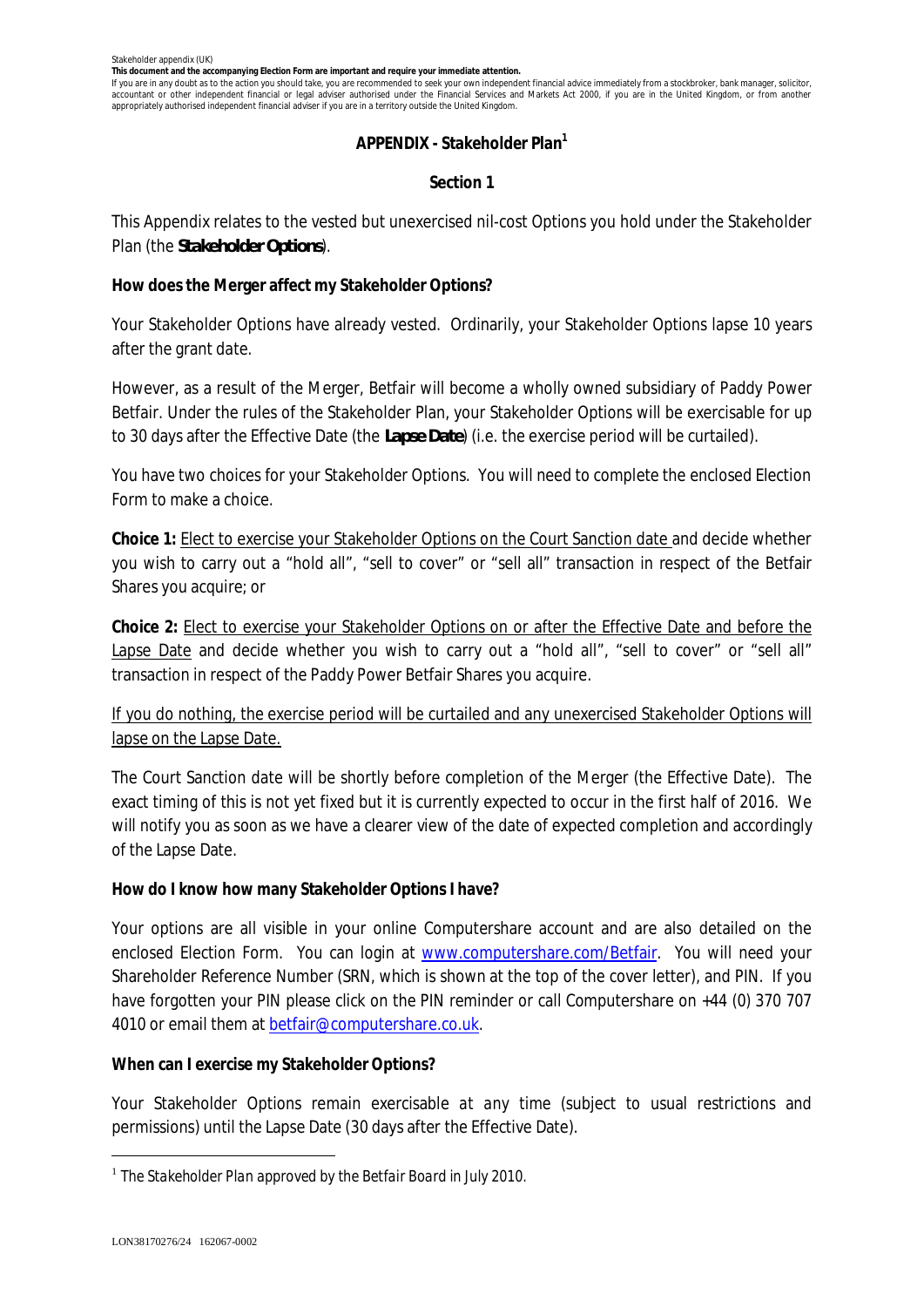**This document and the accompanying Election Form are important and require your immediate attention.**

If you are in any doubt as to the action you should take, you are recommended to seek your own independent financial advice immediately from a stockbroker, bank manager, solicitor, accountant or other independent financial or legal adviser authorised under the Financial Services and Markets Act 2000, if you are in the United Kingdom, or from another appropriately authorised independent financial adviser if you are in a territory outside the United Kingdom.

## **APPENDIX - Stakeholder Plan<sup>1</sup>**

# **Section 1**

This Appendix relates to the vested but unexercised nil-cost Options you hold under the Stakeholder Plan (the *Stakeholder Options*).

**How does the Merger affect my Stakeholder Options?**

Your Stakeholder Options have already vested. Ordinarily, your Stakeholder Options lapse 10 years after the grant date.

However, as a result of the Merger, Betfair will become a wholly owned subsidiary of Paddy Power Betfair. Under the rules of the Stakeholder Plan, your Stakeholder Options will be exercisable for up to 30 days after the Effective Date (the *Lapse Date*) (i.e. the exercise period will be curtailed).

You have two choices for your Stakeholder Options. You will need to complete the enclosed Election Form to make a choice.

**Choice 1:** Elect to exercise your Stakeholder Options on the Court Sanction date and decide whether you wish to carry out a "hold all", "sell to cover" or "sell all" transaction in respect of the Betfair Shares you acquire; or

**Choice 2:** Elect to exercise your Stakeholder Options on or after the Effective Date and before the Lapse Date and decide whether you wish to carry out a "hold all", "sell to cover" or "sell all" transaction in respect of the Paddy Power Betfair Shares you acquire.

If you do nothing, the exercise period will be curtailed and any unexercised Stakeholder Options will lapse on the Lapse Date.

The Court Sanction date will be shortly before completion of the Merger (the Effective Date). The exact timing of this is not yet fixed but it is currently expected to occur in the first half of 2016. We will notify you as soon as we have a clearer view of the date of expected completion and accordingly of the Lapse Date.

**How do I know how many Stakeholder Options I have?**

Your options are all visible in your online Computershare account and are also detailed on the enclosed Election Form. You can login at www.computershare.com/Betfair. You will need your Shareholder Reference Number (SRN, which is shown at the top of the cover letter), and PIN. If you have forgotten your PIN please click on the PIN reminder or call Computershare on +44 (0) 370 707 4010 or email them at betfair@computershare.co.uk.

**When can I exercise my Stakeholder Options?**

Your Stakeholder Options remain exercisable *at any time* (subject to usual restrictions and permissions) until the Lapse Date (30 days after the Effective Date).

<sup>1</sup> *The Stakeholder Plan approved by the Betfair Board in July 2010.*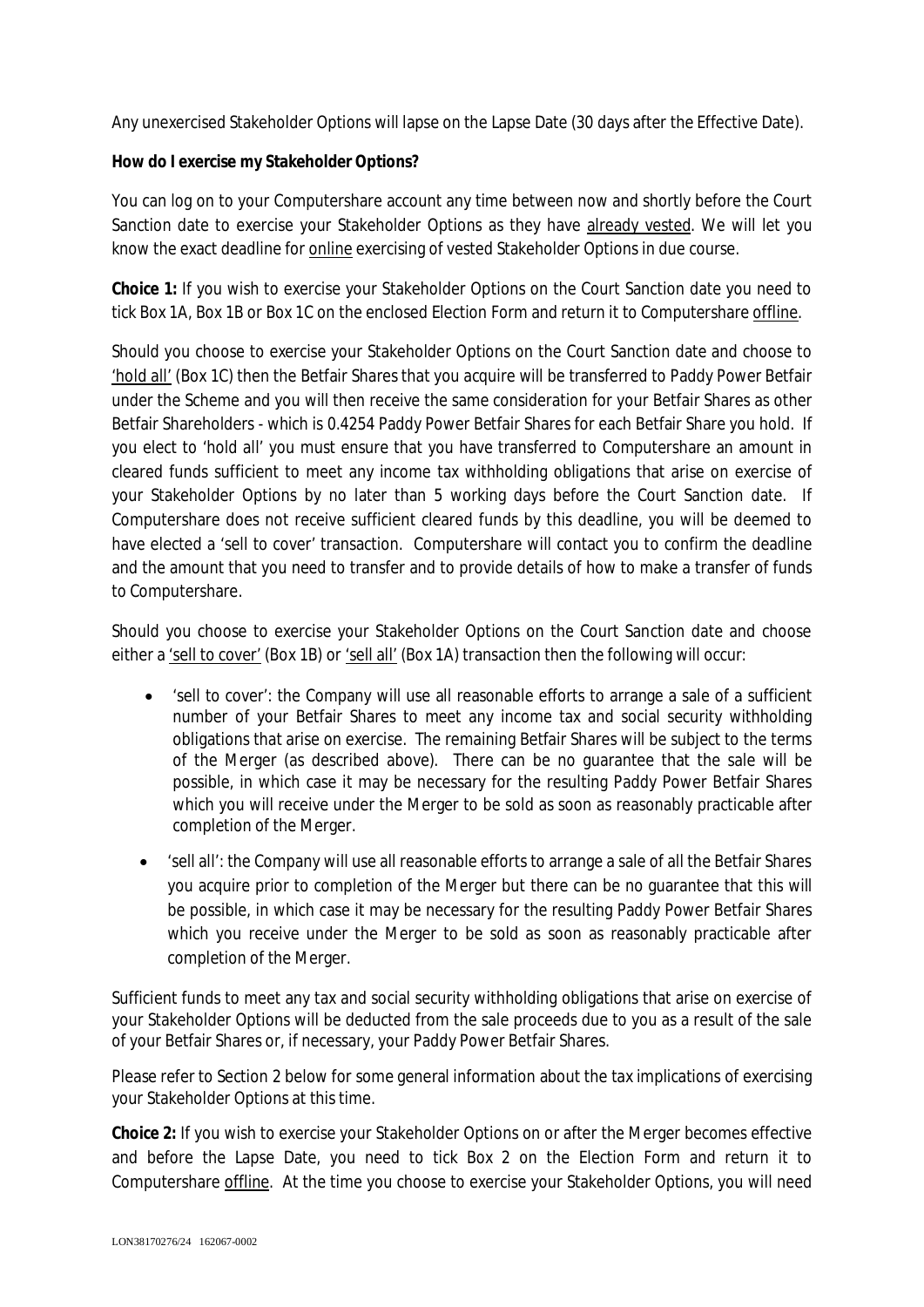Any unexercised Stakeholder Options will lapse on the Lapse Date (30 days after the Effective Date).

**How do I exercise my Stakeholder Options?**

You can log on to your Computershare account any time between now and shortly before the Court Sanction date to exercise your Stakeholder Options as they have already vested. We will let you know the exact deadline for online exercising of vested Stakeholder Options in due course.

**Choice 1:** If you wish to exercise your Stakeholder Options on the Court Sanction date you need to tick Box 1A, Box 1B or Box 1C on the enclosed Election Form and return it to Computershare offline.

Should you choose to exercise your Stakeholder Options on the Court Sanction date and choose to 'hold all' (Box 1C) then the Betfair Shares that you acquire will be transferred to Paddy Power Betfair under the Scheme and you will then receive the same consideration for your Betfair Shares as other Betfair Shareholders - which is 0.4254 Paddy Power Betfair Shares for each Betfair Share you hold. If you elect to 'hold all' you must ensure that you have transferred to Computershare an amount in cleared funds sufficient to meet any income tax withholding obligations that arise on exercise of your Stakeholder Options by no later than 5 working days before the Court Sanction date. If Computershare does not receive sufficient cleared funds by this deadline, you will be deemed to have elected a 'sell to cover' transaction. Computershare will contact you to confirm the deadline and the amount that you need to transfer and to provide details of how to make a transfer of funds to Computershare.

Should you choose to exercise your Stakeholder Options on the Court Sanction date and choose either a 'sell to cover' (Box 1B) or 'sell all' (Box 1A) transaction then the following will occur:

- · 'sell to cover': the Company will use all reasonable efforts to arrange a sale of a sufficient number of your Betfair Shares to meet any income tax and social security withholding obligations that arise on exercise. The remaining Betfair Shares will be subject to the terms of the Merger (as described above). There can be no guarantee that the sale will be possible, in which case it may be necessary for the resulting Paddy Power Betfair Shares which you will receive under the Merger to be sold as soon as reasonably practicable after completion of the Merger.
- · 'sell all': the Company will use all reasonable efforts to arrange a sale of all the Betfair Shares you acquire prior to completion of the Merger but there can be no guarantee that this will be possible, in which case it may be necessary for the resulting Paddy Power Betfair Shares which you receive under the Merger to be sold as soon as reasonably practicable after completion of the Merger.

Sufficient funds to meet any tax and social security withholding obligations that arise on exercise of your Stakeholder Options will be deducted from the sale proceeds due to you as a result of the sale of your Betfair Shares or, if necessary, your Paddy Power Betfair Shares.

Please refer to Section 2 below for some general information about the tax implications of exercising your Stakeholder Options at this time.

**Choice 2:** If you wish to exercise your Stakeholder Options on or after the Merger becomes effective and before the Lapse Date, you need to tick Box 2 on the Election Form and return it to Computershare offline. At the time you choose to exercise your Stakeholder Options, you will need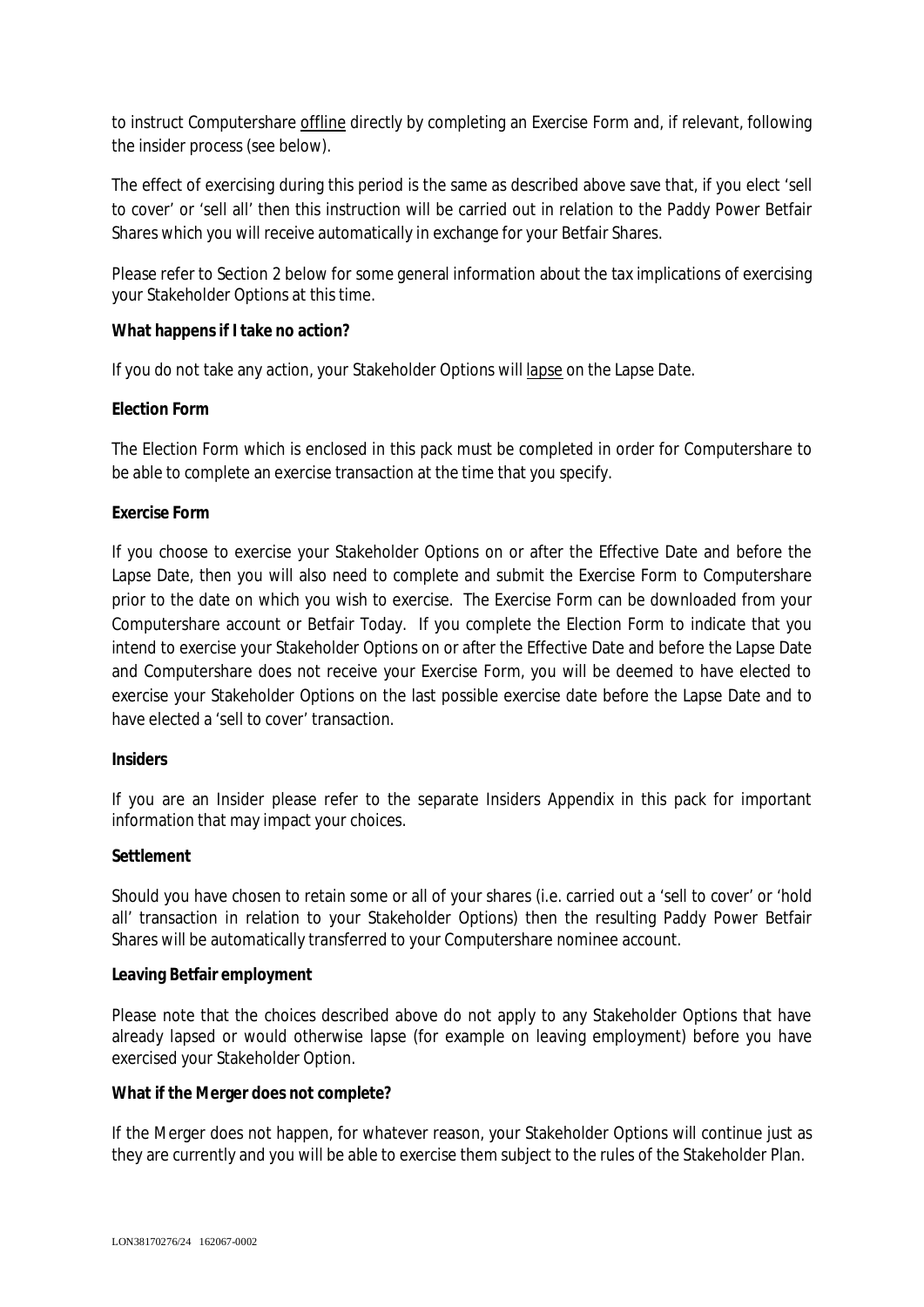to instruct Computershare offline directly by completing an Exercise Form and, if relevant, following the insider process (see below).

The effect of exercising during this period is the same as described above save that, if you elect 'sell to cover' or 'sell all' then this instruction will be carried out in relation to the Paddy Power Betfair Shares which you will receive automatically in exchange for your Betfair Shares.

Please refer to Section 2 below for some general information about the tax implications of exercising your Stakeholder Options at this time.

**What happens if I take no action?**

If you do not take any action, your Stakeholder Options will lapse on the Lapse Date.

# **Election Form**

The Election Form which is enclosed in this pack must be completed in order for Computershare to be able to complete an exercise transaction at the time that you specify.

# **Exercise Form**

If you choose to exercise your Stakeholder Options on or after the Effective Date and before the Lapse Date, then you will also need to complete and submit the Exercise Form to Computershare prior to the date on which you wish to exercise. The Exercise Form can be downloaded from your Computershare account or Betfair Today. If you complete the Election Form to indicate that you intend to exercise your Stakeholder Options on or after the Effective Date and before the Lapse Date and Computershare does not receive your Exercise Form, you will be deemed to have elected to exercise your Stakeholder Options on the last possible exercise date before the Lapse Date and to have elected a 'sell to cover' transaction.

# **Insiders**

If you are an Insider please refer to the separate Insiders Appendix in this pack for important information that may impact your choices.

# **Settlement**

Should you have chosen to retain some or all of your shares (i.e. carried out a 'sell to cover' or 'hold all' transaction in relation to your Stakeholder Options) then the resulting Paddy Power Betfair Shares will be automatically transferred to your Computershare nominee account.

# **Leaving Betfair employment**

Please note that the choices described above do not apply to any Stakeholder Options that have already lapsed or would otherwise lapse (for example on leaving employment) before you have exercised your Stakeholder Option.

**What if the Merger does not complete?**

If the Merger does not happen, for whatever reason, your Stakeholder Options will continue just as they are currently and you will be able to exercise them subject to the rules of the Stakeholder Plan.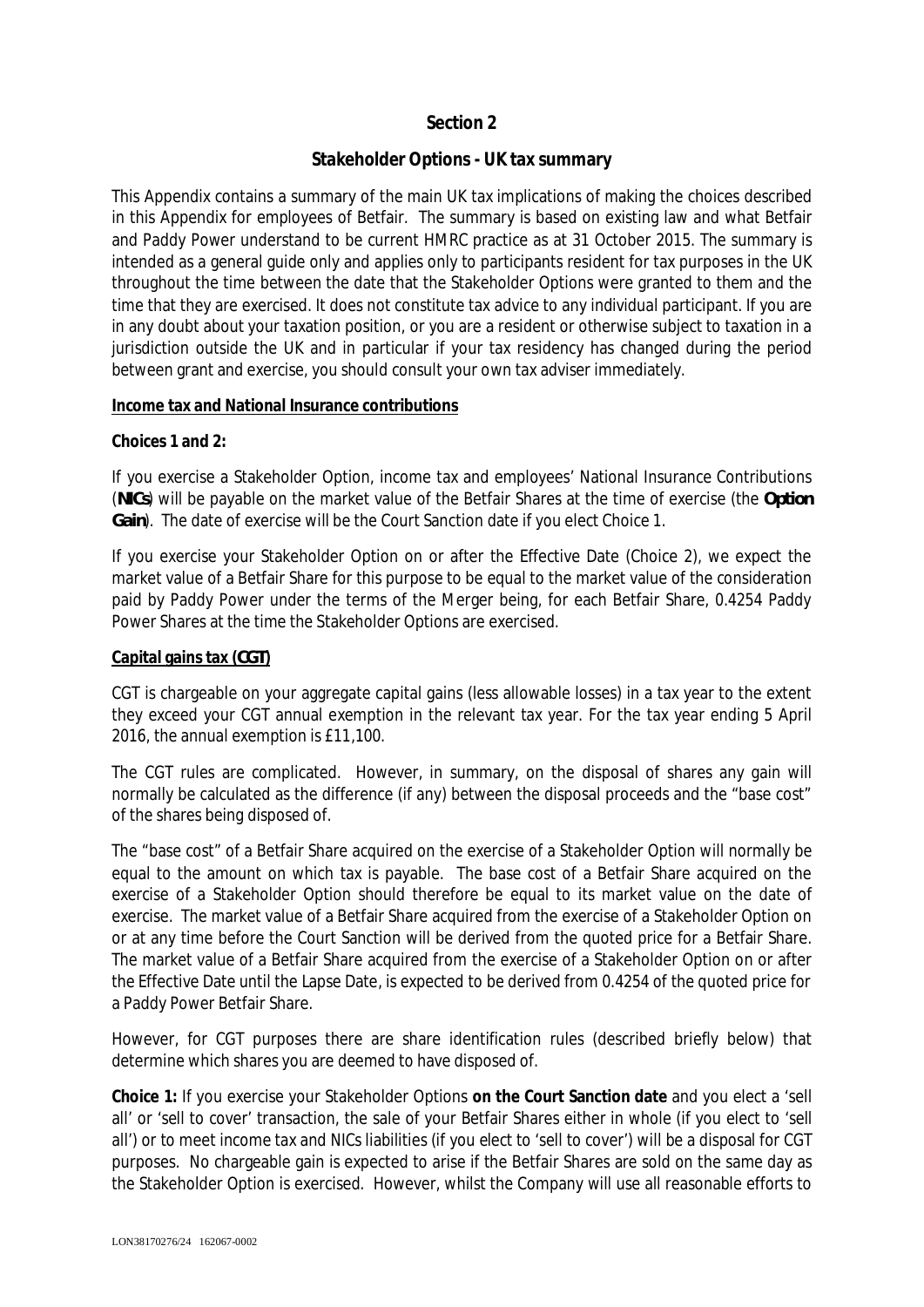# **Section 2**

# **Stakeholder Options - UK tax summary**

This Appendix contains a summary of the main UK tax implications of making the choices described in this Appendix for employees of Betfair. The summary is based on existing law and what Betfair and Paddy Power understand to be current HMRC practice as at 31 October 2015. The summary is intended as a general guide only and applies only to participants resident for tax purposes in the UK throughout the time between the date that the Stakeholder Options were granted to them and the time that they are exercised. It does not constitute tax advice to any individual participant. If you are in any doubt about your taxation position, or you are a resident or otherwise subject to taxation in a jurisdiction outside the UK and in particular if your tax residency has changed during the period between grant and exercise, you should consult your own tax adviser immediately.

## **Income tax and National Insurance contributions**

**Choices 1 and 2:**

If you exercise a Stakeholder Option, income tax and employees' National Insurance Contributions (*NICs*) will be payable on the market value of the Betfair Shares at the time of exercise (the *Option Gain*). The date of exercise will be the Court Sanction date if you elect Choice 1.

If you exercise your Stakeholder Option on or after the Effective Date (Choice 2), we expect the market value of a Betfair Share for this purpose to be equal to the market value of the consideration paid by Paddy Power under the terms of the Merger being, for each Betfair Share, 0.4254 Paddy Power Shares at the time the Stakeholder Options are exercised.

### **Capital gains tax (***CGT***)**

CGT is chargeable on your aggregate capital gains (less allowable losses) in a tax year to the extent they exceed your CGT annual exemption in the relevant tax year. For the tax year ending 5 April 2016, the annual exemption is £11,100.

The CGT rules are complicated. However, in summary, on the disposal of shares any gain will normally be calculated as the difference (if any) between the disposal proceeds and the "base cost" of the shares being disposed of.

The "base cost" of a Betfair Share acquired on the exercise of a Stakeholder Option will normally be equal to the amount on which tax is payable. The base cost of a Betfair Share acquired on the exercise of a Stakeholder Option should therefore be equal to its market value on the date of exercise. The market value of a Betfair Share acquired from the exercise of a Stakeholder Option on or at any time before the Court Sanction will be derived from the quoted price for a Betfair Share. The market value of a Betfair Share acquired from the exercise of a Stakeholder Option on or after the Effective Date until the Lapse Date, is expected to be derived from 0.4254 of the quoted price for a Paddy Power Betfair Share.

However, for CGT purposes there are share identification rules (described briefly below) that determine which shares you are deemed to have disposed of.

**Choice 1:** If you exercise your Stakeholder Options **on the Court Sanction date** and you elect a 'sell all' or 'sell to cover' transaction, the sale of your Betfair Shares either in whole (if you elect to 'sell all') or to meet income tax and NICs liabilities (if you elect to 'sell to cover') will be a disposal for CGT purposes. No chargeable gain is expected to arise if the Betfair Shares are sold on the same day as the Stakeholder Option is exercised. However, whilst the Company will use all reasonable efforts to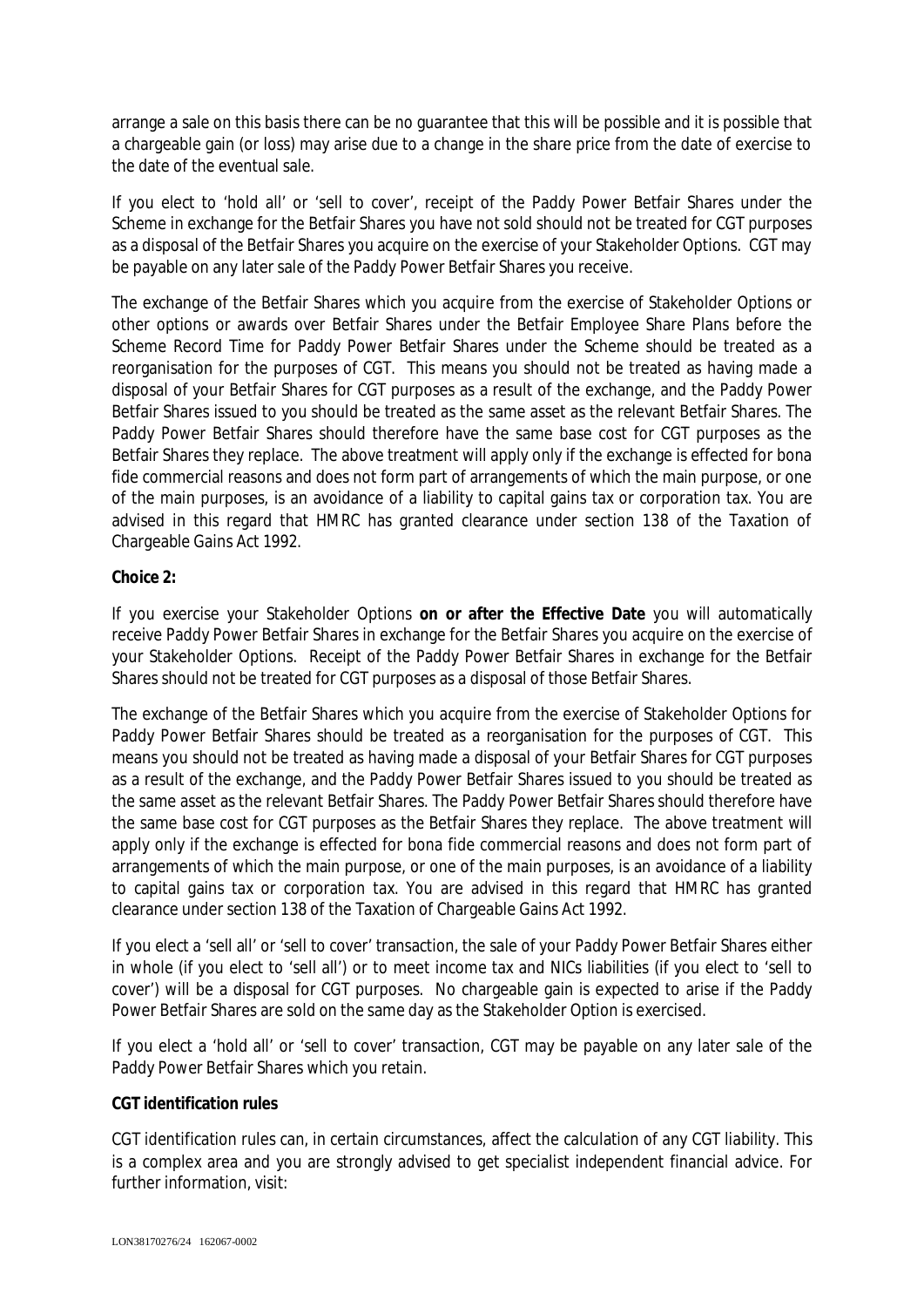arrange a sale on this basis there can be no guarantee that this will be possible and it is possible that a chargeable gain (or loss) may arise due to a change in the share price from the date of exercise to the date of the eventual sale.

If you elect to 'hold all' or 'sell to cover', receipt of the Paddy Power Betfair Shares under the Scheme in exchange for the Betfair Shares you have not sold should not be treated for CGT purposes as a disposal of the Betfair Shares you acquire on the exercise of your Stakeholder Options. CGT may be payable on any later sale of the Paddy Power Betfair Shares you receive.

The exchange of the Betfair Shares which you acquire from the exercise of Stakeholder Options or other options or awards over Betfair Shares under the Betfair Employee Share Plans before the Scheme Record Time for Paddy Power Betfair Shares under the Scheme should be treated as a reorganisation for the purposes of CGT. This means you should not be treated as having made a disposal of your Betfair Shares for CGT purposes as a result of the exchange, and the Paddy Power Betfair Shares issued to you should be treated as the same asset as the relevant Betfair Shares. The Paddy Power Betfair Shares should therefore have the same base cost for CGT purposes as the Betfair Shares they replace. The above treatment will apply only if the exchange is effected for bona fide commercial reasons and does not form part of arrangements of which the main purpose, or one of the main purposes, is an avoidance of a liability to capital gains tax or corporation tax. You are advised in this regard that HMRC has granted clearance under section 138 of the Taxation of Chargeable Gains Act 1992.

## **Choice 2:**

If you exercise your Stakeholder Options **on or after the Effective Date** you will automatically receive Paddy Power Betfair Shares in exchange for the Betfair Shares you acquire on the exercise of your Stakeholder Options. Receipt of the Paddy Power Betfair Shares in exchange for the Betfair Shares should not be treated for CGT purposes as a disposal of those Betfair Shares.

The exchange of the Betfair Shares which you acquire from the exercise of Stakeholder Options for Paddy Power Betfair Shares should be treated as a reorganisation for the purposes of CGT. This means you should not be treated as having made a disposal of your Betfair Shares for CGT purposes as a result of the exchange, and the Paddy Power Betfair Shares issued to you should be treated as the same asset as the relevant Betfair Shares. The Paddy Power Betfair Shares should therefore have the same base cost for CGT purposes as the Betfair Shares they replace. The above treatment will apply only if the exchange is effected for bona fide commercial reasons and does not form part of arrangements of which the main purpose, or one of the main purposes, is an avoidance of a liability to capital gains tax or corporation tax. You are advised in this regard that HMRC has granted clearance under section 138 of the Taxation of Chargeable Gains Act 1992.

If you elect a 'sell all' or 'sell to cover' transaction, the sale of your Paddy Power Betfair Shares either in whole (if you elect to 'sell all') or to meet income tax and NICs liabilities (if you elect to 'sell to cover') will be a disposal for CGT purposes. No chargeable gain is expected to arise if the Paddy Power Betfair Shares are sold on the same day as the Stakeholder Option is exercised.

If you elect a 'hold all' or 'sell to cover' transaction, CGT may be payable on any later sale of the Paddy Power Betfair Shares which you retain.

#### **CGT identification rules**

CGT identification rules can, in certain circumstances, affect the calculation of any CGT liability. This is a complex area and you are strongly advised to get specialist independent financial advice. For further information, visit: